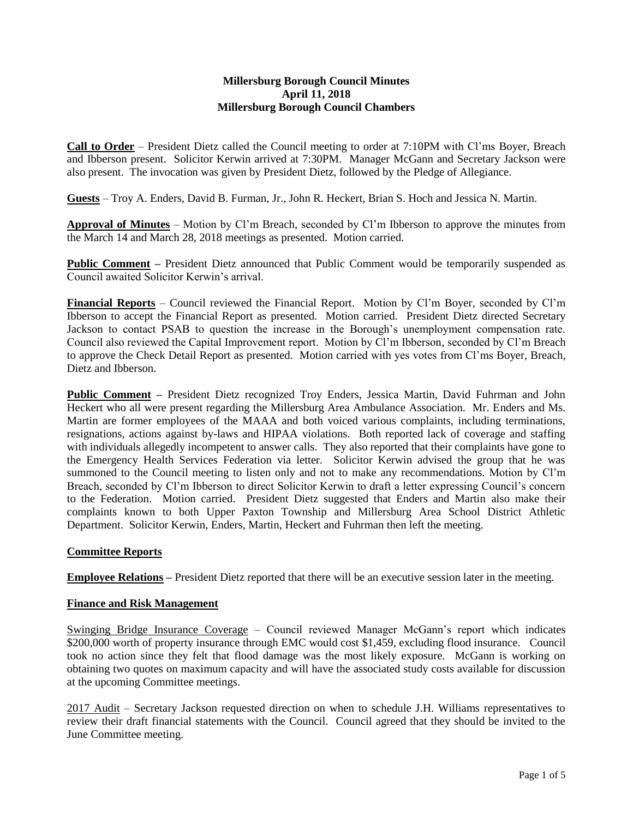#### **Millersburg Borough Council Minutes April 11, 2018 Millersburg Borough Council Chambers**

**Call to Order** – President Dietz called the Council meeting to order at 7:10PM with Cl'ms Boyer, Breach and Ibberson present. Solicitor Kerwin arrived at 7:30PM. Manager McGann and Secretary Jackson were also present. The invocation was given by President Dietz, followed by the Pledge of Allegiance.

**Guests** – Troy A. Enders, David B. Furman, Jr., John R. Heckert, Brian S. Hoch and Jessica N. Martin.

**Approval of Minutes** – Motion by Cl'm Breach, seconded by Cl'm Ibberson to approve the minutes from the March 14 and March 28, 2018 meetings as presented. Motion carried.

**Public Comment** – President Dietz announced that Public Comment would be temporarily suspended as Council awaited Solicitor Kerwin's arrival.

**Financial Reports** – Council reviewed the Financial Report. Motion by Cl'm Boyer, seconded by Cl'm Ibberson to accept the Financial Report as presented. Motion carried. President Dietz directed Secretary Jackson to contact PSAB to question the increase in the Borough's unemployment compensation rate. Council also reviewed the Capital Improvement report. Motion by Cl'm Ibberson, seconded by Cl'm Breach to approve the Check Detail Report as presented. Motion carried with yes votes from Cl'ms Boyer, Breach, Dietz and Ibberson.

**Public Comment –** President Dietz recognized Troy Enders, Jessica Martin, David Fuhrman and John Heckert who all were present regarding the Millersburg Area Ambulance Association. Mr. Enders and Ms. Martin are former employees of the MAAA and both voiced various complaints, including terminations, resignations, actions against by-laws and HIPAA violations. Both reported lack of coverage and staffing with individuals allegedly incompetent to answer calls. They also reported that their complaints have gone to the Emergency Health Services Federation via letter. Solicitor Kerwin advised the group that he was summoned to the Council meeting to listen only and not to make any recommendations. Motion by Cl'm Breach, seconded by Cl'm Ibberson to direct Solicitor Kerwin to draft a letter expressing Council's concern to the Federation. Motion carried. President Dietz suggested that Enders and Martin also make their complaints known to both Upper Paxton Township and Millersburg Area School District Athletic Department. Solicitor Kerwin, Enders, Martin, Heckert and Fuhrman then left the meeting.

# **Committee Reports**

**Employee Relations –** President Dietz reported that there will be an executive session later in the meeting.

# **Finance and Risk Management**

Swinging Bridge Insurance Coverage – Council reviewed Manager McGann's report which indicates \$200,000 worth of property insurance through EMC would cost \$1,459, excluding flood insurance. Council took no action since they felt that flood damage was the most likely exposure. McGann is working on obtaining two quotes on maximum capacity and will have the associated study costs available for discussion at the upcoming Committee meetings.

2017 Audit – Secretary Jackson requested direction on when to schedule J.H. Williams representatives to review their draft financial statements with the Council. Council agreed that they should be invited to the June Committee meeting.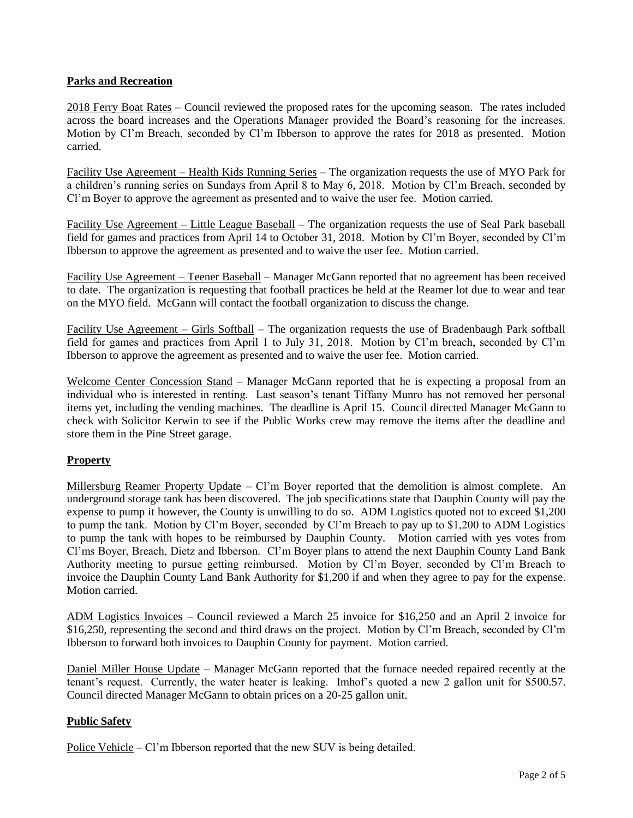# **Parks and Recreation**

2018 Ferry Boat Rates – Council reviewed the proposed rates for the upcoming season. The rates included across the board increases and the Operations Manager provided the Board's reasoning for the increases. Motion by Cl'm Breach, seconded by Cl'm Ibberson to approve the rates for 2018 as presented. Motion carried.

Facility Use Agreement – Health Kids Running Series – The organization requests the use of MYO Park for a children's running series on Sundays from April 8 to May 6, 2018. Motion by Cl'm Breach, seconded by Cl'm Boyer to approve the agreement as presented and to waive the user fee. Motion carried.

Facility Use Agreement – Little League Baseball – The organization requests the use of Seal Park baseball field for games and practices from April 14 to October 31, 2018. Motion by Cl'm Boyer, seconded by Cl'm Ibberson to approve the agreement as presented and to waive the user fee. Motion carried.

Facility Use Agreement – Teener Baseball – Manager McGann reported that no agreement has been received to date. The organization is requesting that football practices be held at the Reamer lot due to wear and tear on the MYO field. McGann will contact the football organization to discuss the change.

Facility Use Agreement – Girls Softball – The organization requests the use of Bradenbaugh Park softball field for games and practices from April 1 to July 31, 2018. Motion by Cl'm breach, seconded by Cl'm Ibberson to approve the agreement as presented and to waive the user fee. Motion carried.

Welcome Center Concession Stand – Manager McGann reported that he is expecting a proposal from an individual who is interested in renting. Last season's tenant Tiffany Munro has not removed her personal items yet, including the vending machines. The deadline is April 15. Council directed Manager McGann to check with Solicitor Kerwin to see if the Public Works crew may remove the items after the deadline and store them in the Pine Street garage.

# **Property**

Millersburg Reamer Property Update – Cl'm Boyer reported that the demolition is almost complete. An underground storage tank has been discovered. The job specifications state that Dauphin County will pay the expense to pump it however, the County is unwilling to do so. ADM Logistics quoted not to exceed \$1,200 to pump the tank. Motion by Cl'm Boyer, seconded by Cl'm Breach to pay up to \$1,200 to ADM Logistics to pump the tank with hopes to be reimbursed by Dauphin County. Motion carried with yes votes from Cl'ms Boyer, Breach, Dietz and Ibberson. Cl'm Boyer plans to attend the next Dauphin County Land Bank Authority meeting to pursue getting reimbursed. Motion by Cl'm Boyer, seconded by Cl'm Breach to invoice the Dauphin County Land Bank Authority for \$1,200 if and when they agree to pay for the expense. Motion carried.

ADM Logistics Invoices – Council reviewed a March 25 invoice for \$16,250 and an April 2 invoice for \$16,250, representing the second and third draws on the project. Motion by Cl'm Breach, seconded by Cl'm Ibberson to forward both invoices to Dauphin County for payment. Motion carried.

Daniel Miller House Update – Manager McGann reported that the furnace needed repaired recently at the tenant's request. Currently, the water heater is leaking. Imhof's quoted a new 2 gallon unit for \$500.57. Council directed Manager McGann to obtain prices on a 20-25 gallon unit.

# **Public Safety**

Police Vehicle – Cl'm Ibberson reported that the new SUV is being detailed.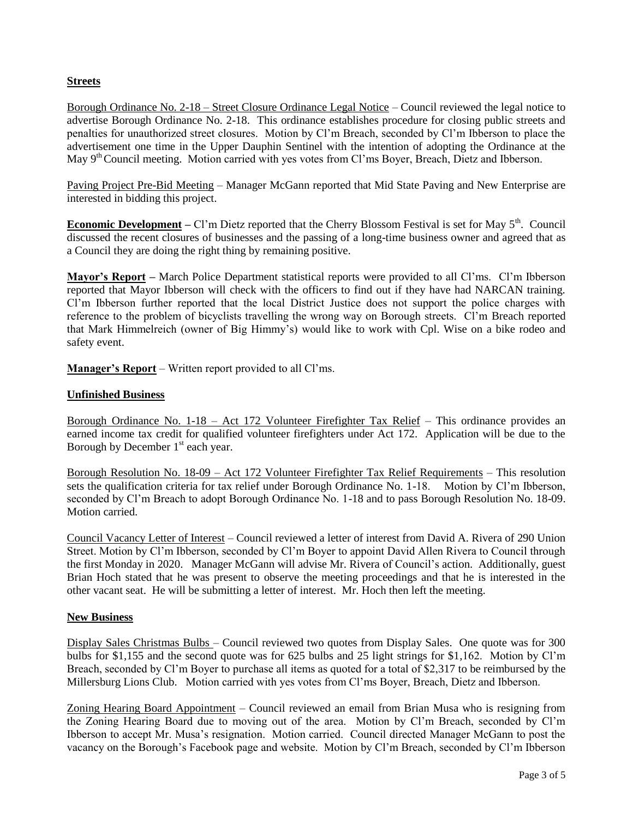# **Streets**

Borough Ordinance No. 2-18 – Street Closure Ordinance Legal Notice – Council reviewed the legal notice to advertise Borough Ordinance No. 2-18. This ordinance establishes procedure for closing public streets and penalties for unauthorized street closures. Motion by Cl'm Breach, seconded by Cl'm Ibberson to place the advertisement one time in the Upper Dauphin Sentinel with the intention of adopting the Ordinance at the May 9<sup>th</sup> Council meeting. Motion carried with yes votes from Cl'ms Boyer, Breach, Dietz and Ibberson.

Paving Project Pre-Bid Meeting – Manager McGann reported that Mid State Paving and New Enterprise are interested in bidding this project.

**Economic Development** – Cl'm Dietz reported that the Cherry Blossom Festival is set for May 5<sup>th</sup>. Council discussed the recent closures of businesses and the passing of a long-time business owner and agreed that as a Council they are doing the right thing by remaining positive.

**Mayor's Report –** March Police Department statistical reports were provided to all Cl'ms. Cl'm Ibberson reported that Mayor Ibberson will check with the officers to find out if they have had NARCAN training. Cl'm Ibberson further reported that the local District Justice does not support the police charges with reference to the problem of bicyclists travelling the wrong way on Borough streets. Cl'm Breach reported that Mark Himmelreich (owner of Big Himmy's) would like to work with Cpl. Wise on a bike rodeo and safety event.

**Manager's Report** – Written report provided to all Cl'ms.

# **Unfinished Business**

Borough Ordinance No. 1-18 – Act 172 Volunteer Firefighter Tax Relief – This ordinance provides an earned income tax credit for qualified volunteer firefighters under Act 172. Application will be due to the Borough by December  $1<sup>st</sup>$  each year.

Borough Resolution No. 18-09 – Act 172 Volunteer Firefighter Tax Relief Requirements – This resolution sets the qualification criteria for tax relief under Borough Ordinance No. 1-18. Motion by Cl'm Ibberson, seconded by Cl'm Breach to adopt Borough Ordinance No. 1-18 and to pass Borough Resolution No. 18-09. Motion carried.

Council Vacancy Letter of Interest – Council reviewed a letter of interest from David A. Rivera of 290 Union Street. Motion by Cl'm Ibberson, seconded by Cl'm Boyer to appoint David Allen Rivera to Council through the first Monday in 2020. Manager McGann will advise Mr. Rivera of Council's action. Additionally, guest Brian Hoch stated that he was present to observe the meeting proceedings and that he is interested in the other vacant seat. He will be submitting a letter of interest. Mr. Hoch then left the meeting.

# **New Business**

Display Sales Christmas Bulbs – Council reviewed two quotes from Display Sales. One quote was for 300 bulbs for \$1,155 and the second quote was for 625 bulbs and 25 light strings for \$1,162. Motion by Cl'm Breach, seconded by Cl'm Boyer to purchase all items as quoted for a total of \$2,317 to be reimbursed by the Millersburg Lions Club. Motion carried with yes votes from Cl'ms Boyer, Breach, Dietz and Ibberson.

Zoning Hearing Board Appointment – Council reviewed an email from Brian Musa who is resigning from the Zoning Hearing Board due to moving out of the area. Motion by Cl'm Breach, seconded by Cl'm Ibberson to accept Mr. Musa's resignation. Motion carried. Council directed Manager McGann to post the vacancy on the Borough's Facebook page and website. Motion by Cl'm Breach, seconded by Cl'm Ibberson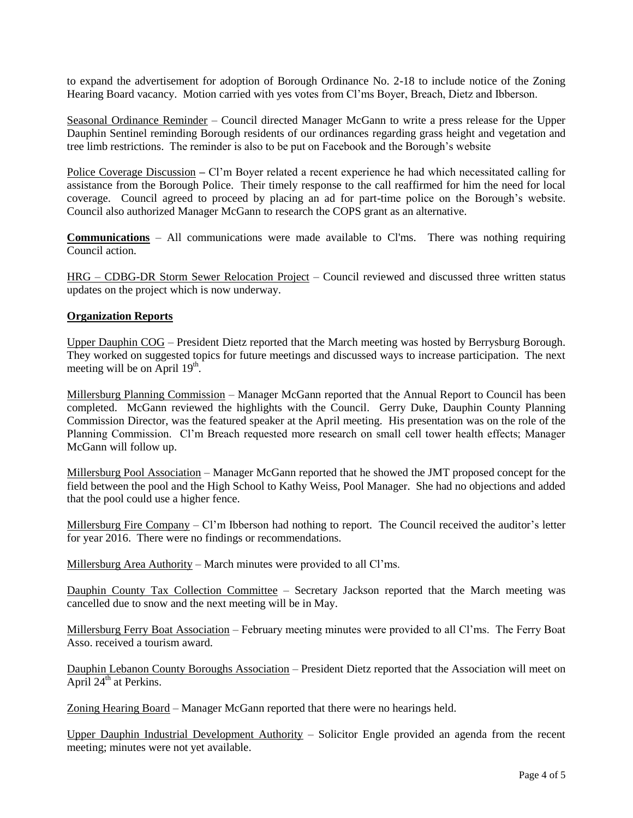to expand the advertisement for adoption of Borough Ordinance No. 2-18 to include notice of the Zoning Hearing Board vacancy. Motion carried with yes votes from Cl'ms Boyer, Breach, Dietz and Ibberson.

Seasonal Ordinance Reminder – Council directed Manager McGann to write a press release for the Upper Dauphin Sentinel reminding Borough residents of our ordinances regarding grass height and vegetation and tree limb restrictions. The reminder is also to be put on Facebook and the Borough's website

Police Coverage Discussion **–** Cl'm Boyer related a recent experience he had which necessitated calling for assistance from the Borough Police. Their timely response to the call reaffirmed for him the need for local coverage. Council agreed to proceed by placing an ad for part-time police on the Borough's website. Council also authorized Manager McGann to research the COPS grant as an alternative.

**Communications** – All communications were made available to Cl'ms. There was nothing requiring Council action.

HRG – CDBG-DR Storm Sewer Relocation Project – Council reviewed and discussed three written status updates on the project which is now underway.

# **Organization Reports**

Upper Dauphin COG – President Dietz reported that the March meeting was hosted by Berrysburg Borough. They worked on suggested topics for future meetings and discussed ways to increase participation. The next meeting will be on April  $19<sup>th</sup>$ .

Millersburg Planning Commission – Manager McGann reported that the Annual Report to Council has been completed. McGann reviewed the highlights with the Council. Gerry Duke, Dauphin County Planning Commission Director, was the featured speaker at the April meeting. His presentation was on the role of the Planning Commission. Cl'm Breach requested more research on small cell tower health effects; Manager McGann will follow up.

Millersburg Pool Association – Manager McGann reported that he showed the JMT proposed concept for the field between the pool and the High School to Kathy Weiss, Pool Manager. She had no objections and added that the pool could use a higher fence.

Millersburg Fire Company – Cl'm Ibberson had nothing to report. The Council received the auditor's letter for year 2016. There were no findings or recommendations.

Millersburg Area Authority – March minutes were provided to all Cl'ms.

Dauphin County Tax Collection Committee – Secretary Jackson reported that the March meeting was cancelled due to snow and the next meeting will be in May.

Millersburg Ferry Boat Association - February meeting minutes were provided to all Cl'ms. The Ferry Boat Asso. received a tourism award.

Dauphin Lebanon County Boroughs Association – President Dietz reported that the Association will meet on April  $24^{\text{th}}$  at Perkins.

Zoning Hearing Board – Manager McGann reported that there were no hearings held.

Upper Dauphin Industrial Development Authority – Solicitor Engle provided an agenda from the recent meeting; minutes were not yet available.